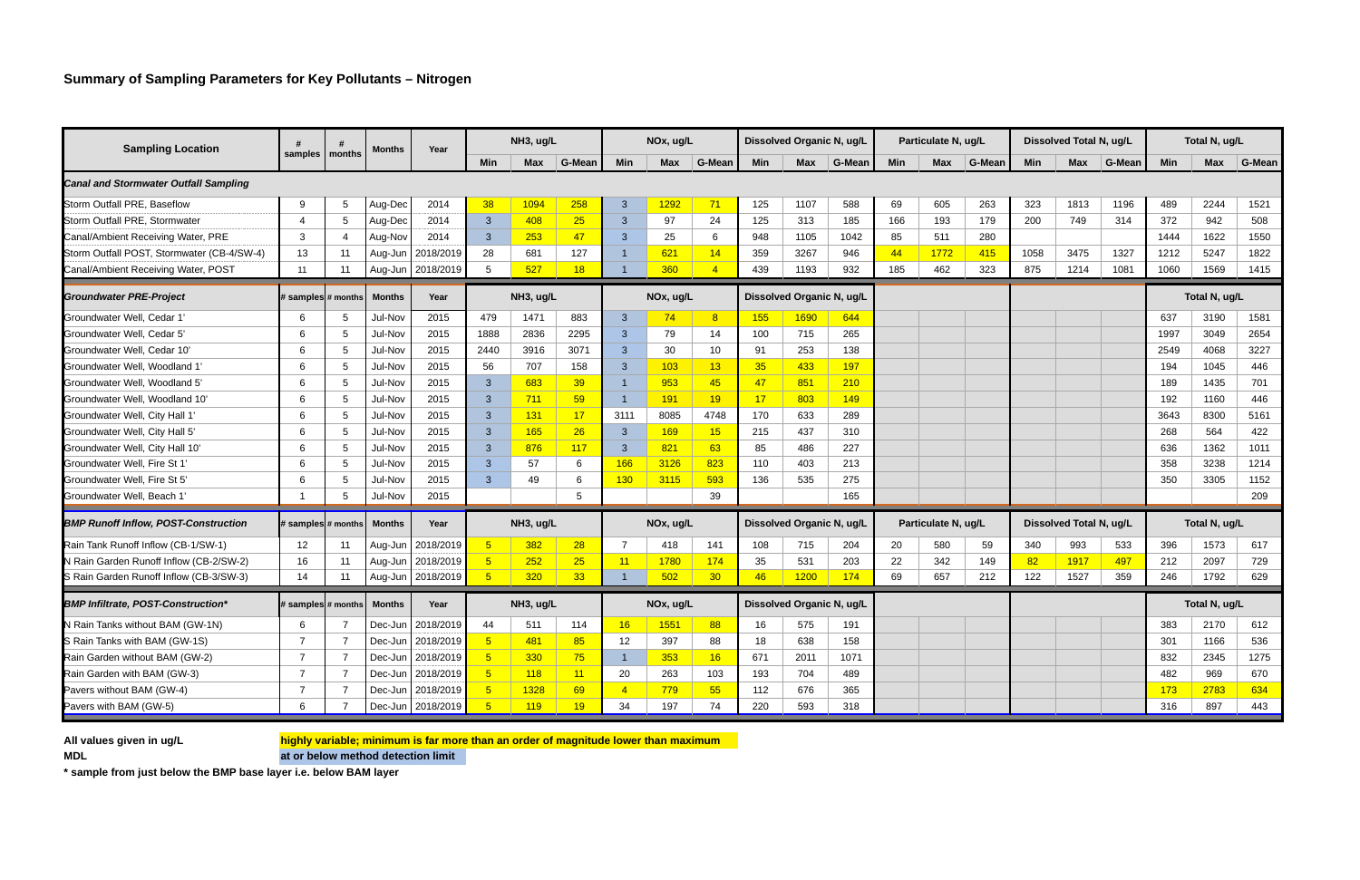| <b>Sampling Location</b>                     | samples              | months                                | Months        | Year                |                 | NH3, ug/L  |           | NOx, ug/L      |              |                           | Dissolved Organic N, ug/L |             |                     | Particulate N, ug/L |            |                         | Dissolved Total N, ug/L |            | Total N, ug/L |               |            |               |
|----------------------------------------------|----------------------|---------------------------------------|---------------|---------------------|-----------------|------------|-----------|----------------|--------------|---------------------------|---------------------------|-------------|---------------------|---------------------|------------|-------------------------|-------------------------|------------|---------------|---------------|------------|---------------|
|                                              |                      |                                       |               |                     | <b>Min</b>      | <b>Max</b> | G-Mean    | <b>Min</b>     | <b>Max</b>   | G-Mean                    | <b>Min</b>                | <b>Max</b>  | G-Mean              | <b>Min</b>          | <b>Max</b> | G-Mean                  | Min                     | <b>Max</b> | G-Mean        | Min           | <b>Max</b> | <b>G-Mean</b> |
| <b>Canal and Stormwater Outfall Sampling</b> |                      |                                       |               |                     |                 |            |           |                |              |                           |                           |             |                     |                     |            |                         |                         |            |               |               |            |               |
| Storm Outfall PRE, Baseflow                  | 9                    | -5                                    | Aug-Dec       | 2014                | 38              | 1094       | 258       | $\mathbf{3}$   | 1292         | 71                        | 125                       | 1107        | 588                 | 69                  | 605        | 263                     | 323                     | 1813       | 1196          | 489           | 2244       | 1521          |
| Storm Outfall PRE, Stormwater                | $\overline{4}$       | -5                                    | Aug-Dec       | 2014                | $\mathbf{3}$    | 408        | 25        | 3              | 97           | 24                        | 125                       | 313         | 185                 | 166                 | 193        | 179                     | 200                     | 749        | 314           | 372           | 942        | 508           |
| Canal/Ambient Receiving Water, PRE           | 3                    | -4                                    | Aug-Nov       | 2014                | $\mathbf{3}$    | 253        | 47        | $\mathbf{3}$   | 25           | 6                         | 948                       | 1105        | 1042                | 85                  | 511        | 280                     |                         |            |               | 1444          | 1622       | 1550          |
| Storm Outfall POST, Stormwater (CB-4/SW-4)   | 13                   | 11                                    | Aug-Jun       | 2018/2019           | 28              | 681        | 127       | $\mathbf{1}$   | 621          | 14                        | 359                       | 3267        | 946                 | 44                  | 1772       | 415                     | 1058                    | 3475       | 1327          | 1212          | 5247       | 1822          |
| Canal/Ambient Receiving Water, POST          | 11                   | 11                                    | Aug-Jun       | 2018/2019           | 5               | 527        | 18        |                | 360          | $\overline{4}$            | 439                       | 1193        | 932                 | 185                 | 462        | 323                     | 875                     | 1214       | 1081          | 1060          | 1569       | 1415          |
| <b>Groundwater PRE-Project</b>               | # samples $#$ months |                                       | <b>Months</b> | Year                |                 | NH3, ug/L  |           | NOx, ug/L      |              |                           | Dissolved Organic N, ug/L |             |                     |                     |            |                         |                         |            |               | Total N, ug/L |            |               |
| Groundwater Well, Cedar 1                    | 6                    | -5                                    | Jul-Nov       | 2015                | 479             | 1471       | 883       | $\mathbf{3}$   | 74           | 8                         | <b>155</b>                | <b>1690</b> | 644                 |                     |            |                         |                         |            |               | 637           | 3190       | 1581          |
| Groundwater Well, Cedar 5                    | 6                    | -5                                    | Jul-Nov       | 2015                | 1888            | 2836       | 2295      | 3              | 79           | 14                        | 100                       | 715         | 265                 |                     |            |                         |                         |            |               | 1997          | 3049       | 2654          |
| Groundwater Well, Cedar 10'                  | 6                    | -5                                    | Jul-Nov       | 2015                | 2440            | 3916       | 3071      | 3              | 30           | 10                        | 91                        | 253         | 138                 |                     |            |                         |                         |            |               | 2549          | 4068       | 3227          |
| Groundwater Well, Woodland 1'                | 6                    | -5                                    | Jul-Nov       | 2015                | 56              | 707        | 158       | 3              | 103          | 13                        | 35 <sub>2</sub>           | 433         | 197                 |                     |            |                         |                         |            |               | 194           | 1045       | 446           |
| Groundwater Well, Woodland 5'                | 6                    | -5                                    | Jul-Nov       | 2015                | $\mathbf{3}$    | 683        | 39        | $\mathbf{1}$   | 953          | 45                        | 47                        | 851         | 210                 |                     |            |                         |                         |            |               | 189           | 1435       | 701           |
| Groundwater Well, Woodland 10                | 6                    | -5                                    | Jul-Nov       | 2015                | $\mathbf{3}$    | $711$      | 59        | $\mathbf{1}$   | 191          | 19                        | 17                        | 803         | 149                 |                     |            |                         |                         |            |               | 192           | 1160       | 446           |
| Groundwater Well, City Hall 1'               | 6                    | -5                                    | Jul-Nov       | 2015                | $\mathbf{3}$    | 131        | 17        | 3111           | 8085         | 4748                      | 170                       | 633         | 289                 |                     |            |                         |                         |            |               | 3643          | 8300       | 5161          |
| Groundwater Well, City Hall 5'               | 6                    | -5                                    | Jul-Nov       | 2015                | $\mathbf{3}$    | 165        | 26        | $\mathbf{3}$   | <b>169</b>   | 15                        | 215                       | 437         | 310                 |                     |            |                         |                         |            |               | 268           | 564        | 422           |
| Groundwater Well, City Hall 10'              | 6                    | -5                                    | Jul-Nov       | 2015                | $\mathbf{3}$    | 876        | 117       | $\mathbf{3}$   | 821          | 63                        | 85                        | 486         | 227                 |                     |            |                         |                         |            |               | 636           | 1362       | 1011          |
| Groundwater Well, Fire St 1'                 | 6                    | -5                                    | Jul-Nov       | 2015                | $\mathbf{3}$    | 57         | 6         | 166            | 3126         | 823                       | 110                       | 403         | 213                 |                     |            |                         |                         |            |               | 358           | 3238       | 1214          |
| Groundwater Well, Fire St 5                  | 6                    | -5                                    | Jul-Nov       | 2015                | $\mathbf{3}$    | 49         | 6         | 130            | 3115         | 593                       | 136                       | 535         | 275                 |                     |            |                         |                         |            |               | 350           | 3305       | 1152          |
| Groundwater Well, Beach 1'                   |                      | .5                                    | Jul-Nov       | 2015                |                 |            | 5         |                |              | 39                        |                           |             | 165                 |                     |            |                         |                         |            |               |               |            | 209           |
| <b>BMP Runoff Inflow, POST-Construction</b>  |                      | <b>Months</b><br># samples $#$ months |               | Year                | NH3, ug/L       |            | NOx, ug/L |                |              | Dissolved Organic N, ug/L |                           |             | Particulate N, ug/L |                     |            | Dissolved Total N, ug/L |                         |            | Total N, ug/L |               |            |               |
| Rain Tank Runoff Inflow (CB-1/SW-1)          | 12                   | 11                                    | Aug-Jun       | 2018/2019           | $5\overline{5}$ | 382        | 28        | -7             | 418          | 141                       | 108                       | 715         | 204                 | 20                  | 580        | 59                      | 340                     | 993        | 533           | 396           | 1573       | 617           |
| N Rain Garden Runoff Inflow (CB-2/SW-2)      | 16                   | 11                                    | Aug-Jun       | 2018/2019           | 5 <sup>5</sup>  | 252        | 25        | 11             | 1780         | 174                       | 35                        | 531         | 203                 | 22                  | 342        | 149                     | 82                      | 1917       | 497           | 212           | 2097       | 729           |
| S Rain Garden Runoff Inflow (CB-3/SW-3)      | 14                   | 11                                    | Aug-Jun       | 2018/2019           | 5 <sub>5</sub>  | 320        | 33        | 1              | 502          | 30 <sub>o</sub>           | 46                        | 1200        | 174                 | 69                  | 657        | 212                     | 122                     | 1527       | 359           | 246           | 1792       | 629           |
| <b>BMP Infiltrate, POST-Construction*</b>    |                      | # samples # months                    | <b>Months</b> | Year                | NH3, ug/L       |            |           | NOx, ug/L      |              |                           | Dissolved Organic N, ug/L |             |                     |                     |            |                         |                         |            |               | Total N, ug/L |            |               |
| N Rain Tanks without BAM (GW-1N)             | 6                    |                                       |               | Dec-Jun   2018/2019 | 44              | 511        | 114       | <u>16</u>      | <u> 1551</u> | 88 <sup>°</sup>           | 16                        | 575         | 191                 |                     |            |                         |                         |            |               | 383           | 2170       | 612           |
| S Rain Tanks with BAM (GW-1S)                | $\overline{7}$       | $\overline{7}$                        |               | Dec-Jun   2018/2019 | 5 <sub>o</sub>  | 481        | 85        | 12             | 397          | 88                        | 18                        | 638         | 158                 |                     |            |                         |                         |            |               | 301           | 1166       | 536           |
| Rain Garden without BAM (GW-2)               |                      |                                       |               | Dec-Jun   2018/2019 | 5 <sup>5</sup>  | 330        | 75        | $\mathbf{1}$   | 353          | 16                        | 671                       | 2011        | 1071                |                     |            |                         |                         |            |               | 832           | 2345       | 1275          |
| Rain Garden with BAM (GW-3)                  | 7                    | $\overline{7}$                        |               | Dec-Jun   2018/2019 | 5 <sup>5</sup>  | 118        | 11        | 20             | 263          | 103                       | 193                       | 704         | 489                 |                     |            |                         |                         |            |               | 482           | 969        | 670           |
| Pavers without BAM (GW-4)                    | -7                   | 7                                     |               | Dec-Jun   2018/2019 | 5 <sub>o</sub>  | 1328       | 69        | $\overline{4}$ | 779          | 55                        | 112                       | 676         | 365                 |                     |            |                         |                         |            |               | <b>173</b>    | 2783       | 634           |
| Pavers with BAM (GW-5)                       | 6                    |                                       |               | Dec-Jun   2018/2019 | 5 <sub>o</sub>  | 119        | <b>19</b> | 34             | 197          | 74                        | 220                       | 593         | 318                 |                     |            |                         |                         |            |               | 316           | 897        | 443           |

**All values given in ug/L highly variable; minimum is far more than an order of magnitude lower than maximum**

**MDL at or below method detection limit**

**\* sample from just below the BMP base layer i.e. below BAM layer**